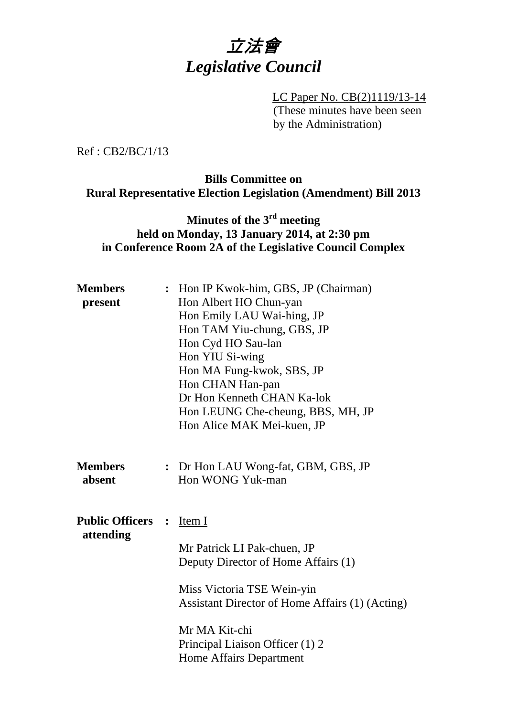

 LC Paper No. CB(2)1119/13-14 (These minutes have been seen by the Administration)

Ref : CB2/BC/1/13

### **Bills Committee on Rural Representative Election Legislation (Amendment) Bill 2013**

# **Minutes of the 3rd meeting held on Monday, 13 January 2014, at 2:30 pm in Conference Room 2A of the Legislative Council Complex**

| <b>Members</b>                        | : Hon IP Kwok-him, GBS, JP (Chairman)           |
|---------------------------------------|-------------------------------------------------|
| present                               | Hon Albert HO Chun-yan                          |
|                                       | Hon Emily LAU Wai-hing, JP                      |
|                                       | Hon TAM Yiu-chung, GBS, JP                      |
|                                       | Hon Cyd HO Sau-lan                              |
|                                       | Hon YIU Si-wing                                 |
|                                       | Hon MA Fung-kwok, SBS, JP                       |
|                                       | Hon CHAN Han-pan                                |
|                                       | Dr Hon Kenneth CHAN Ka-lok                      |
|                                       | Hon LEUNG Che-cheung, BBS, MH, JP               |
|                                       | Hon Alice MAK Mei-kuen, JP                      |
| <b>Members</b>                        | : Dr Hon LAU Wong-fat, GBM, GBS, JP             |
| absent                                | Hon WONG Yuk-man                                |
| <b>Public Officers :</b><br>attending | Item I                                          |
|                                       | Mr Patrick LI Pak-chuen, JP                     |
|                                       | Deputy Director of Home Affairs (1)             |
|                                       | Miss Victoria TSE Wein-yin                      |
|                                       | Assistant Director of Home Affairs (1) (Acting) |
|                                       | Mr MA Kit-chi                                   |
|                                       | Principal Liaison Officer (1) 2                 |
|                                       | <b>Home Affairs Department</b>                  |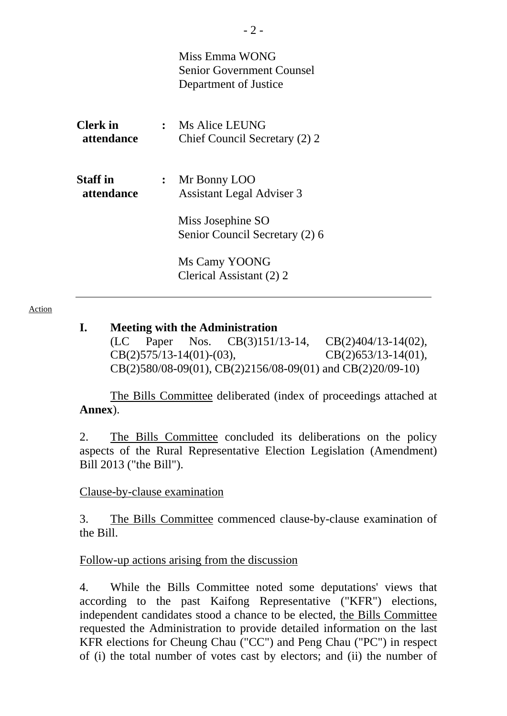|                               |                | Miss Emma WONG<br><b>Senior Government Counsel</b><br>Department of Justice |
|-------------------------------|----------------|-----------------------------------------------------------------------------|
| <b>Clerk</b> in<br>attendance |                | : Ms Alice LEUNG<br>Chief Council Secretary (2) 2                           |
| <b>Staff</b> in<br>attendance | $\ddot{\cdot}$ | Mr Bonny LOO<br><b>Assistant Legal Adviser 3</b>                            |
|                               |                | Miss Josephine SO<br>Senior Council Secretary (2) 6                         |
|                               |                | Ms Camy YOONG<br>Clerical Assistant (2) 2                                   |

Action

#### **I. Meeting with the Administration**

(LC Paper Nos. CB(3)151/13-14, CB(2)404/13-14(02), CB(2)575/13-14(01)-(03), CB(2)653/13-14(01), CB(2)580/08-09(01), CB(2)2156/08-09(01) and CB(2)20/09-10)

 The Bills Committee deliberated (index of proceedings attached at **Annex**).

2. The Bills Committee concluded its deliberations on the policy aspects of the Rural Representative Election Legislation (Amendment) Bill 2013 ("the Bill").

#### Clause-by-clause examination

3. The Bills Committee commenced clause-by-clause examination of the Bill.

#### Follow-up actions arising from the discussion

4. While the Bills Committee noted some deputations' views that according to the past Kaifong Representative ("KFR") elections, independent candidates stood a chance to be elected, the Bills Committee requested the Administration to provide detailed information on the last KFR elections for Cheung Chau ("CC") and Peng Chau ("PC") in respect of (i) the total number of votes cast by electors; and (ii) the number of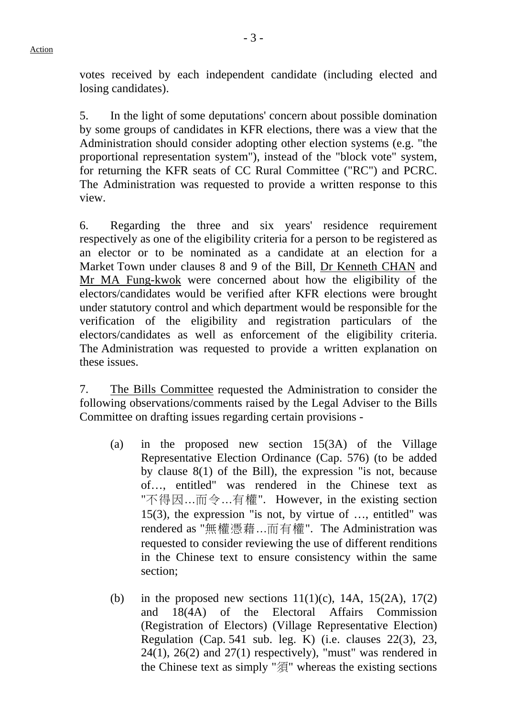votes received by each independent candidate (including elected and losing candidates).

5. In the light of some deputations' concern about possible domination by some groups of candidates in KFR elections, there was a view that the Administration should consider adopting other election systems (e.g. "the proportional representation system"), instead of the "block vote" system, for returning the KFR seats of CC Rural Committee ("RC") and PCRC. The Administration was requested to provide a written response to this view.

6. Regarding the three and six years' residence requirement respectively as one of the eligibility criteria for a person to be registered as an elector or to be nominated as a candidate at an election for a Market Town under clauses 8 and 9 of the Bill, Dr Kenneth CHAN and Mr MA Fung-kwok were concerned about how the eligibility of the electors/candidates would be verified after KFR elections were brought under statutory control and which department would be responsible for the verification of the eligibility and registration particulars of the electors/candidates as well as enforcement of the eligibility criteria. The Administration was requested to provide a written explanation on these issues.

7. The Bills Committee requested the Administration to consider the following observations/comments raised by the Legal Adviser to the Bills Committee on drafting issues regarding certain provisions -

- (a) in the proposed new section 15(3A) of the Village Representative Election Ordinance (Cap. 576) (to be added by clause 8(1) of the Bill), the expression "is not, because of…, entitled" was rendered in the Chinese text as "不得因…而令…有權". However, in the existing section 15(3), the expression "is not, by virtue of …, entitled" was rendered as "無權憑藉…而有權". The Administration was requested to consider reviewing the use of different renditions in the Chinese text to ensure consistency within the same section;
- (b) in the proposed new sections  $11(1)(c)$ , 14A,  $15(2A)$ ,  $17(2)$ and 18(4A) of the Electoral Affairs Commission (Registration of Electors) (Village Representative Election) Regulation (Cap. 541 sub. leg. K) (i.e. clauses 22(3), 23,  $24(1)$ ,  $26(2)$  and  $27(1)$  respectively), "must" was rendered in the Chinese text as simply "須" whereas the existing sections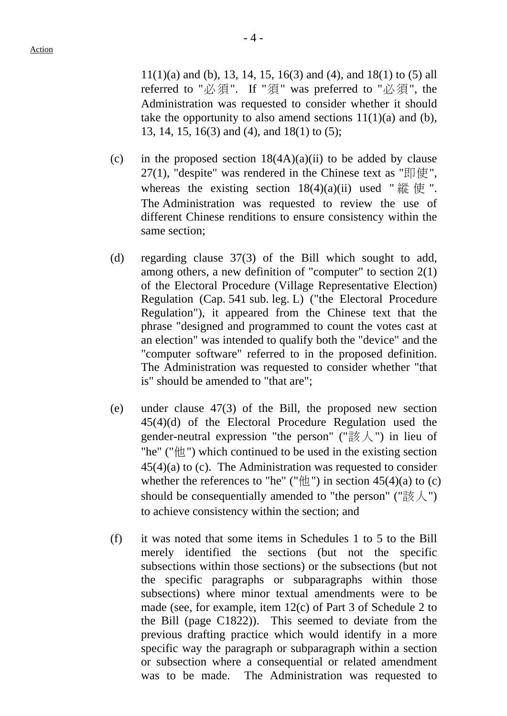$11(1)(a)$  and (b), 13, 14, 15, 16(3) and (4), and 18(1) to (5) all referred to "必須". If "須" was preferred to "必須", the Administration was requested to consider whether it should take the opportunity to also amend sections  $11(1)(a)$  and (b), 13, 14, 15, 16(3) and (4), and 18(1) to (5);

- (c) in the proposed section  $18(4A)(a)(ii)$  to be added by clause 27(1), "despite" was rendered in the Chinese text as " $\mathbb{E}$   $\mathbb{F}$ ", whereas the existing section  $18(4)(a)(ii)$  used " 縱 使". The Administration was requested to review the use of different Chinese renditions to ensure consistency within the same section;
- (d) regarding clause 37(3) of the Bill which sought to add, among others, a new definition of "computer" to section 2(1) of the Electoral Procedure (Village Representative Election) Regulation (Cap. 541 sub. leg. L) ("the Electoral Procedure Regulation"), it appeared from the Chinese text that the phrase "designed and programmed to count the votes cast at an election" was intended to qualify both the "device" and the "computer software" referred to in the proposed definition. The Administration was requested to consider whether "that is" should be amended to "that are";
- (e) under clause 47(3) of the Bill, the proposed new section 45(4)(d) of the Electoral Procedure Regulation used the gender-neutral expression "the person" (" $\mathbb{R}\times\mathbb{Z}$ ) in lieu of "he" ("他") which continued to be used in the existing section 45(4)(a) to (c). The Administration was requested to consider whether the references to "he" (" $\text{ft}$ ") in section 45(4)(a) to (c) should be consequentially amended to "the person" ("該人") to achieve consistency within the section; and
- (f) it was noted that some items in Schedules 1 to 5 to the Bill merely identified the sections (but not the specific subsections within those sections) or the subsections (but not the specific paragraphs or subparagraphs within those subsections) where minor textual amendments were to be made (see, for example, item 12(c) of Part 3 of Schedule 2 to the Bill (page C1822)). This seemed to deviate from the previous drafting practice which would identify in a more specific way the paragraph or subparagraph within a section or subsection where a consequential or related amendment was to be made. The Administration was requested to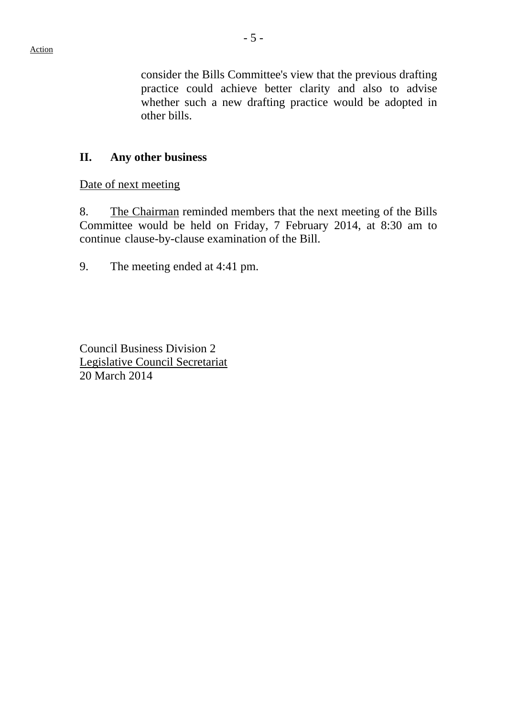consider the Bills Committee's view that the previous drafting practice could achieve better clarity and also to advise whether such a new drafting practice would be adopted in other bills.

### **II. Any other business**

Date of next meeting

8. The Chairman reminded members that the next meeting of the Bills Committee would be held on Friday, 7 February 2014, at 8:30 am to continue clause-by-clause examination of the Bill.

9. The meeting ended at 4:41 pm.

Council Business Division 2 Legislative Council Secretariat 20 March 2014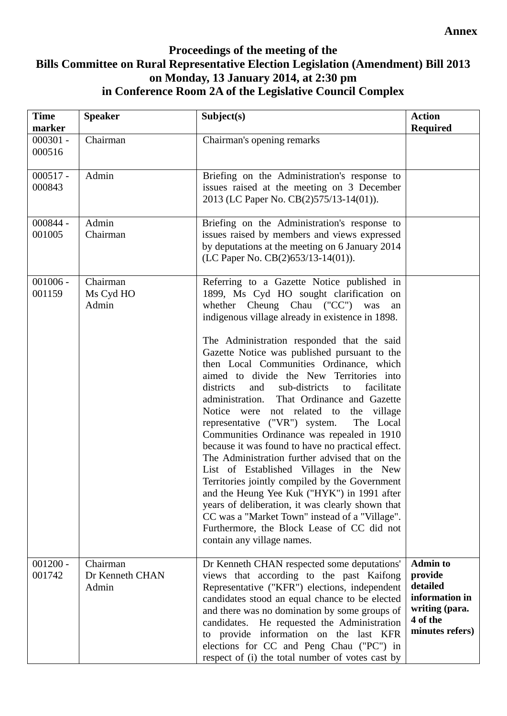#### **Annex**

## **Proceedings of the meeting of the Bills Committee on Rural Representative Election Legislation (Amendment) Bill 2013 on Monday, 13 January 2014, at 2:30 pm in Conference Room 2A of the Legislative Council Complex**

| <b>Time</b><br>marker | <b>Speaker</b>                       | Subject(s)                                                                                                                                                                                                                                                                                                                                                                                                                                                                                                                                                                                                                                                                                                                                                                                                                                                                                                                                                                                                                                               | <b>Action</b><br><b>Required</b>                                                                          |
|-----------------------|--------------------------------------|----------------------------------------------------------------------------------------------------------------------------------------------------------------------------------------------------------------------------------------------------------------------------------------------------------------------------------------------------------------------------------------------------------------------------------------------------------------------------------------------------------------------------------------------------------------------------------------------------------------------------------------------------------------------------------------------------------------------------------------------------------------------------------------------------------------------------------------------------------------------------------------------------------------------------------------------------------------------------------------------------------------------------------------------------------|-----------------------------------------------------------------------------------------------------------|
| $000301 -$<br>000516  | Chairman                             | Chairman's opening remarks                                                                                                                                                                                                                                                                                                                                                                                                                                                                                                                                                                                                                                                                                                                                                                                                                                                                                                                                                                                                                               |                                                                                                           |
| $000517 -$<br>000843  | Admin                                | Briefing on the Administration's response to<br>issues raised at the meeting on 3 December<br>2013 (LC Paper No. CB(2)575/13-14(01)).                                                                                                                                                                                                                                                                                                                                                                                                                                                                                                                                                                                                                                                                                                                                                                                                                                                                                                                    |                                                                                                           |
| 000844 -<br>001005    | Admin<br>Chairman                    | Briefing on the Administration's response to<br>issues raised by members and views expressed<br>by deputations at the meeting on 6 January 2014<br>(LC Paper No. CB(2)653/13-14(01)).                                                                                                                                                                                                                                                                                                                                                                                                                                                                                                                                                                                                                                                                                                                                                                                                                                                                    |                                                                                                           |
| $001006 -$<br>001159  | Chairman<br>Ms Cyd HO<br>Admin       | Referring to a Gazette Notice published in<br>1899, Ms Cyd HO sought clarification on<br>whether Cheung Chau ("CC") was<br>an<br>indigenous village already in existence in 1898.<br>The Administration responded that the said<br>Gazette Notice was published pursuant to the<br>then Local Communities Ordinance, which<br>aimed to divide the New Territories into<br>sub-districts<br>districts<br>and<br>facilitate<br>to<br>administration. That Ordinance and Gazette<br>Notice were not related to the village<br>representative ("VR") system.<br>The Local<br>Communities Ordinance was repealed in 1910<br>because it was found to have no practical effect.<br>The Administration further advised that on the<br>List of Established Villages in the New<br>Territories jointly compiled by the Government<br>and the Heung Yee Kuk ("HYK") in 1991 after<br>years of deliberation, it was clearly shown that<br>CC was a "Market Town" instead of a "Village".<br>Furthermore, the Block Lease of CC did not<br>contain any village names. |                                                                                                           |
| $001200 -$<br>001742  | Chairman<br>Dr Kenneth CHAN<br>Admin | Dr Kenneth CHAN respected some deputations'<br>views that according to the past Kaifong<br>Representative ("KFR") elections, independent<br>candidates stood an equal chance to be elected<br>and there was no domination by some groups of<br>He requested the Administration<br>candidates.<br>to provide information on the last KFR<br>elections for CC and Peng Chau ("PC") in<br>respect of (i) the total number of votes cast by                                                                                                                                                                                                                                                                                                                                                                                                                                                                                                                                                                                                                  | <b>Admin to</b><br>provide<br>detailed<br>information in<br>writing (para.<br>4 of the<br>minutes refers) |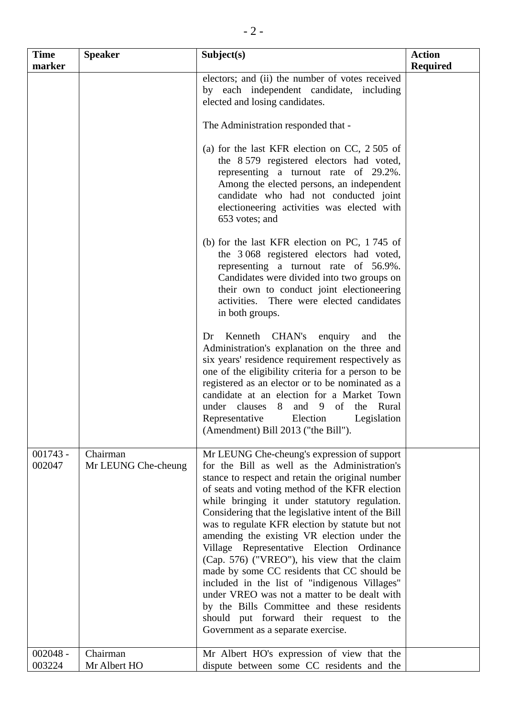| <b>Time</b><br>marker | <b>Speaker</b>                  | Subject(s)                                                                                                                                                                                                                                                                                                                                                                                                                                                                                                                                                                                                                                                                                                                                                                              | <b>Action</b><br><b>Required</b> |
|-----------------------|---------------------------------|-----------------------------------------------------------------------------------------------------------------------------------------------------------------------------------------------------------------------------------------------------------------------------------------------------------------------------------------------------------------------------------------------------------------------------------------------------------------------------------------------------------------------------------------------------------------------------------------------------------------------------------------------------------------------------------------------------------------------------------------------------------------------------------------|----------------------------------|
|                       |                                 | electors; and (ii) the number of votes received<br>by each independent candidate, including<br>elected and losing candidates.                                                                                                                                                                                                                                                                                                                                                                                                                                                                                                                                                                                                                                                           |                                  |
|                       |                                 | The Administration responded that -                                                                                                                                                                                                                                                                                                                                                                                                                                                                                                                                                                                                                                                                                                                                                     |                                  |
|                       |                                 | (a) for the last KFR election on CC, $2\,505$ of<br>the 8.579 registered electors had voted,<br>representing a turnout rate of 29.2%.<br>Among the elected persons, an independent<br>candidate who had not conducted joint<br>electioneering activities was elected with<br>653 votes; and                                                                                                                                                                                                                                                                                                                                                                                                                                                                                             |                                  |
|                       |                                 | (b) for the last KFR election on PC, 1745 of<br>the 3068 registered electors had voted,<br>representing a turnout rate of 56.9%.<br>Candidates were divided into two groups on<br>their own to conduct joint electioneering<br>activities. There were elected candidates<br>in both groups.                                                                                                                                                                                                                                                                                                                                                                                                                                                                                             |                                  |
|                       |                                 | Kenneth CHAN's enquiry<br>Dr<br>and<br>the<br>Administration's explanation on the three and<br>six years' residence requirement respectively as<br>one of the eligibility criteria for a person to be<br>registered as an elector or to be nominated as a<br>candidate at an election for a Market Town<br>under clauses 8 and 9 of the Rural<br>Representative<br>Legislation<br>Election<br>(Amendment) Bill 2013 ("the Bill").                                                                                                                                                                                                                                                                                                                                                       |                                  |
| $001743 -$<br>002047  | Chairman<br>Mr LEUNG Che-cheung | Mr LEUNG Che-cheung's expression of support<br>for the Bill as well as the Administration's<br>stance to respect and retain the original number<br>of seats and voting method of the KFR election<br>while bringing it under statutory regulation.<br>Considering that the legislative intent of the Bill<br>was to regulate KFR election by statute but not<br>amending the existing VR election under the<br>Village Representative Election Ordinance<br>(Cap. 576) ("VREO"), his view that the claim<br>made by some CC residents that CC should be<br>included in the list of "indigenous Villages"<br>under VREO was not a matter to be dealt with<br>by the Bills Committee and these residents<br>should put forward their request to the<br>Government as a separate exercise. |                                  |
| $002048 -$<br>003224  | Chairman<br>Mr Albert HO        | Mr Albert HO's expression of view that the<br>dispute between some CC residents and the                                                                                                                                                                                                                                                                                                                                                                                                                                                                                                                                                                                                                                                                                                 |                                  |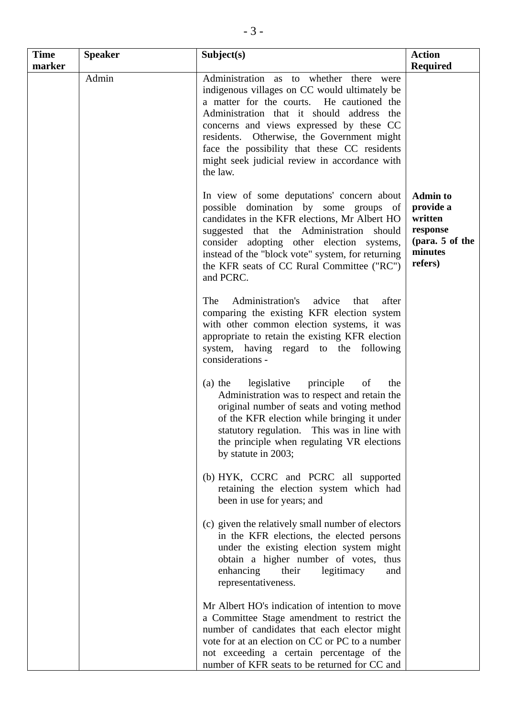| <b>Time</b><br>marker | <b>Speaker</b> | Subject(s)                                                                                                                                                                                                                                                                                                                                                                                | <b>Action</b><br><b>Required</b>                                                             |
|-----------------------|----------------|-------------------------------------------------------------------------------------------------------------------------------------------------------------------------------------------------------------------------------------------------------------------------------------------------------------------------------------------------------------------------------------------|----------------------------------------------------------------------------------------------|
|                       | Admin          | Administration as to whether there were<br>indigenous villages on CC would ultimately be<br>a matter for the courts. He cautioned the<br>Administration that it should address the<br>concerns and views expressed by these CC<br>residents. Otherwise, the Government might<br>face the possibility that these CC residents<br>might seek judicial review in accordance with<br>the law. |                                                                                              |
|                       |                | In view of some deputations' concern about<br>possible domination by some groups of<br>candidates in the KFR elections, Mr Albert HO<br>suggested that the Administration should<br>consider adopting other election systems,<br>instead of the "block vote" system, for returning<br>the KFR seats of CC Rural Committee ("RC")<br>and PCRC.                                             | <b>Admin to</b><br>provide a<br>written<br>response<br>(para. 5 of the<br>minutes<br>refers) |
|                       |                | Administration's<br>The<br>advice<br>that<br>after<br>comparing the existing KFR election system<br>with other common election systems, it was<br>appropriate to retain the existing KFR election<br>system, having regard to the following<br>considerations -                                                                                                                           |                                                                                              |
|                       |                | legislative<br>principle<br>of<br>$(a)$ the<br>the<br>Administration was to respect and retain the<br>original number of seats and voting method<br>of the KFR election while bringing it under<br>statutory regulation. This was in line with<br>the principle when regulating VR elections<br>by statute in 2003;                                                                       |                                                                                              |
|                       |                | (b) HYK, CCRC and PCRC all supported<br>retaining the election system which had<br>been in use for years; and                                                                                                                                                                                                                                                                             |                                                                                              |
|                       |                | (c) given the relatively small number of electors<br>in the KFR elections, the elected persons<br>under the existing election system might<br>obtain a higher number of votes, thus<br>their<br>legitimacy<br>enhancing<br>and<br>representativeness.                                                                                                                                     |                                                                                              |
|                       |                | Mr Albert HO's indication of intention to move<br>a Committee Stage amendment to restrict the<br>number of candidates that each elector might<br>vote for at an election on CC or PC to a number<br>not exceeding a certain percentage of the<br>number of KFR seats to be returned for CC and                                                                                            |                                                                                              |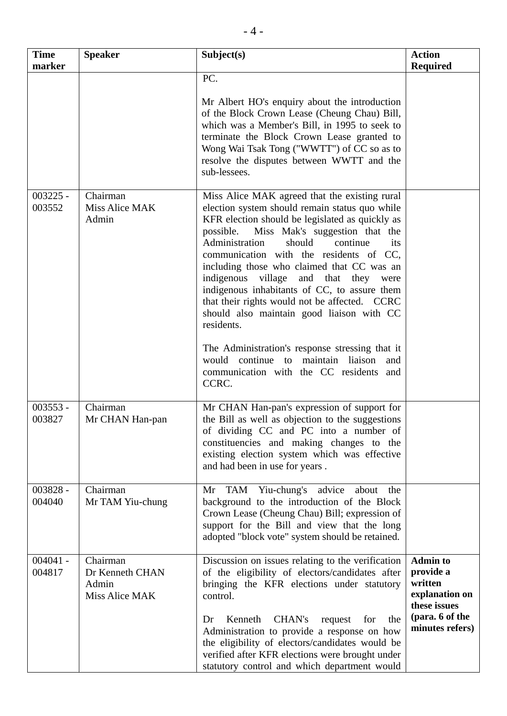| <b>Time</b><br>marker | <b>Speaker</b>                                         | Subject(s)                                                                                                                                                                                                                                                                                                                                                                                                                                                                                                                                                                                                                                                                                            | <b>Action</b><br><b>Required</b>                                                                                |
|-----------------------|--------------------------------------------------------|-------------------------------------------------------------------------------------------------------------------------------------------------------------------------------------------------------------------------------------------------------------------------------------------------------------------------------------------------------------------------------------------------------------------------------------------------------------------------------------------------------------------------------------------------------------------------------------------------------------------------------------------------------------------------------------------------------|-----------------------------------------------------------------------------------------------------------------|
|                       |                                                        | PC.<br>Mr Albert HO's enquiry about the introduction<br>of the Block Crown Lease (Cheung Chau) Bill,<br>which was a Member's Bill, in 1995 to seek to<br>terminate the Block Crown Lease granted to<br>Wong Wai Tsak Tong ("WWTT") of CC so as to<br>resolve the disputes between WWTT and the<br>sub-lessees.                                                                                                                                                                                                                                                                                                                                                                                        |                                                                                                                 |
| $003225 -$<br>003552  | Chairman<br>Miss Alice MAK<br>Admin                    | Miss Alice MAK agreed that the existing rural<br>election system should remain status quo while<br>KFR election should be legislated as quickly as<br>Miss Mak's suggestion that the<br>possible.<br>Administration<br>should<br>continue<br>its<br>communication with the residents of CC,<br>including those who claimed that CC was an<br>indigenous village and that they were<br>indigenous inhabitants of CC, to assure them<br>that their rights would not be affected. CCRC<br>should also maintain good liaison with CC<br>residents.<br>The Administration's response stressing that it<br>would continue to maintain liaison<br>and<br>communication with the CC residents<br>and<br>CCRC. |                                                                                                                 |
| $003553 -$<br>003827  | Chairman<br>Mr CHAN Han-pan                            | Mr CHAN Han-pan's expression of support for<br>the Bill as well as objection to the suggestions<br>of dividing CC and PC into a number of<br>constituencies and making changes to the<br>existing election system which was effective<br>and had been in use for years.                                                                                                                                                                                                                                                                                                                                                                                                                               |                                                                                                                 |
| 003828 -<br>004040    | Chairman<br>Mr TAM Yiu-chung                           | TAM Yiu-chung's advice<br>about<br>Mr<br>the<br>background to the introduction of the Block<br>Crown Lease (Cheung Chau) Bill; expression of<br>support for the Bill and view that the long<br>adopted "block vote" system should be retained.                                                                                                                                                                                                                                                                                                                                                                                                                                                        |                                                                                                                 |
| $004041 -$<br>004817  | Chairman<br>Dr Kenneth CHAN<br>Admin<br>Miss Alice MAK | Discussion on issues relating to the verification<br>of the eligibility of electors/candidates after<br>bringing the KFR elections under statutory<br>control.<br>Kenneth<br>CHAN's<br>Dr<br>for<br>the<br>request<br>Administration to provide a response on how<br>the eligibility of electors/candidates would be<br>verified after KFR elections were brought under<br>statutory control and which department would                                                                                                                                                                                                                                                                               | <b>Admin to</b><br>provide a<br>written<br>explanation on<br>these issues<br>(para. 6 of the<br>minutes refers) |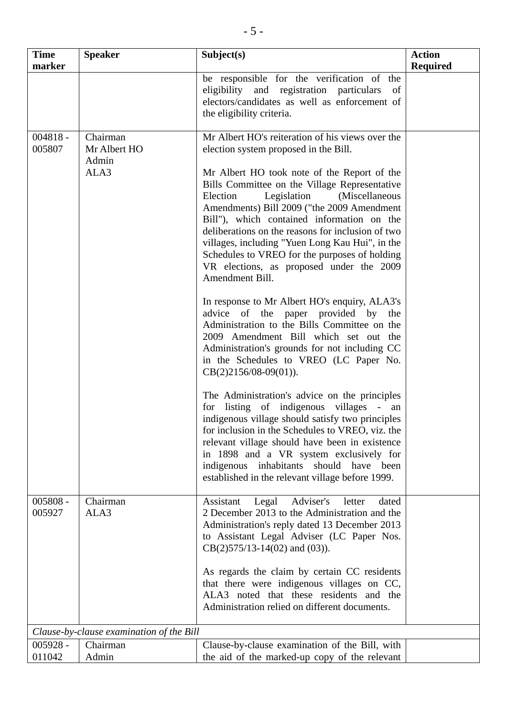| <b>Time</b><br>marker | <b>Speaker</b>                            | Subject(s)                                                                                                                                                                                                                                                                                                                                                                                                                                                                                                                              | <b>Action</b><br><b>Required</b> |
|-----------------------|-------------------------------------------|-----------------------------------------------------------------------------------------------------------------------------------------------------------------------------------------------------------------------------------------------------------------------------------------------------------------------------------------------------------------------------------------------------------------------------------------------------------------------------------------------------------------------------------------|----------------------------------|
|                       |                                           | be responsible for the verification of the<br>eligibility and registration particulars<br>of<br>electors/candidates as well as enforcement of<br>the eligibility criteria.                                                                                                                                                                                                                                                                                                                                                              |                                  |
| $004818 -$<br>005807  | Chairman<br>Mr Albert HO<br>Admin<br>ALA3 | Mr Albert HO's reiteration of his views over the<br>election system proposed in the Bill.<br>Mr Albert HO took note of the Report of the<br>Bills Committee on the Village Representative<br>Election<br>Legislation<br>(Miscellaneous<br>Amendments) Bill 2009 ("the 2009 Amendment<br>Bill"), which contained information on the<br>deliberations on the reasons for inclusion of two<br>villages, including "Yuen Long Kau Hui", in the<br>Schedules to VREO for the purposes of holding<br>VR elections, as proposed under the 2009 |                                  |
|                       |                                           | Amendment Bill.<br>In response to Mr Albert HO's enquiry, ALA3's<br>advice of the<br>paper provided by<br>the<br>Administration to the Bills Committee on the<br>2009 Amendment Bill which set out the<br>Administration's grounds for not including CC<br>in the Schedules to VREO (LC Paper No.<br>$CB(2)2156/08-09(01)).$                                                                                                                                                                                                            |                                  |
|                       |                                           | The Administration's advice on the principles<br>for listing of indigenous villages - an<br>indigenous village should satisfy two principles<br>for inclusion in the Schedules to VREO, viz. the<br>relevant village should have been in existence<br>in 1898 and a VR system exclusively for<br>indigenous inhabitants should have been<br>established in the relevant village before 1999.                                                                                                                                            |                                  |
| 005808 -<br>005927    | Chairman<br>ALA3                          | Legal<br>Adviser's<br>Assistant<br>dated<br>letter<br>2 December 2013 to the Administration and the<br>Administration's reply dated 13 December 2013<br>to Assistant Legal Adviser (LC Paper Nos.<br>$CB(2)575/13-14(02)$ and (03)).<br>As regards the claim by certain CC residents<br>that there were indigenous villages on CC,<br>ALA3 noted that these residents and the<br>Administration relied on different documents.                                                                                                          |                                  |
|                       | Clause-by-clause examination of the Bill  |                                                                                                                                                                                                                                                                                                                                                                                                                                                                                                                                         |                                  |
| $005928 -$<br>011042  | Chairman<br>Admin                         | Clause-by-clause examination of the Bill, with<br>the aid of the marked-up copy of the relevant                                                                                                                                                                                                                                                                                                                                                                                                                                         |                                  |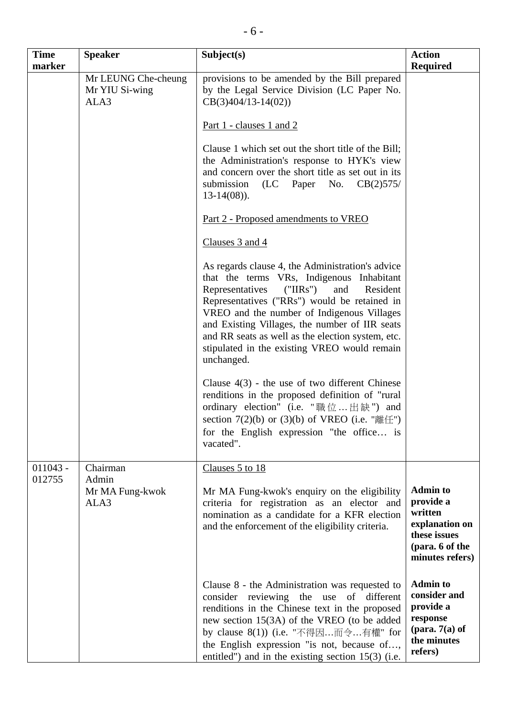| <b>Time</b><br>marker | <b>Speaker</b>                                | Subject(s)                                                                                                                                                                                                                                                                                                                                                                                                         | <b>Action</b><br><b>Required</b>                                                                                |
|-----------------------|-----------------------------------------------|--------------------------------------------------------------------------------------------------------------------------------------------------------------------------------------------------------------------------------------------------------------------------------------------------------------------------------------------------------------------------------------------------------------------|-----------------------------------------------------------------------------------------------------------------|
|                       | Mr LEUNG Che-cheung<br>Mr YIU Si-wing<br>ALA3 | provisions to be amended by the Bill prepared<br>by the Legal Service Division (LC Paper No.<br>$CB(3)404/13-14(02))$                                                                                                                                                                                                                                                                                              |                                                                                                                 |
|                       |                                               | Part 1 - clauses 1 and 2                                                                                                                                                                                                                                                                                                                                                                                           |                                                                                                                 |
|                       |                                               | Clause 1 which set out the short title of the Bill;<br>the Administration's response to HYK's view<br>and concern over the short title as set out in its<br>submission<br>(LC Paper No.<br>CB(2)575/<br>$13-14(08)$ .                                                                                                                                                                                              |                                                                                                                 |
|                       |                                               | Part 2 - Proposed amendments to VREO                                                                                                                                                                                                                                                                                                                                                                               |                                                                                                                 |
|                       |                                               | Clauses 3 and 4                                                                                                                                                                                                                                                                                                                                                                                                    |                                                                                                                 |
|                       |                                               | As regards clause 4, the Administration's advice<br>that the terms VRs, Indigenous Inhabitant<br>Representatives<br>("IIRS")<br>and<br>Resident<br>Representatives ("RRs") would be retained in<br>VREO and the number of Indigenous Villages<br>and Existing Villages, the number of IIR seats<br>and RR seats as well as the election system, etc.<br>stipulated in the existing VREO would remain<br>unchanged. |                                                                                                                 |
|                       |                                               | Clause $4(3)$ - the use of two different Chinese<br>renditions in the proposed definition of "rural"<br>ordinary election" (i.e. "職位出缺") and<br>section $7(2)(b)$ or $(3)(b)$ of VREO (i.e. "離任")<br>for the English expression "the office is<br>vacated".                                                                                                                                                        |                                                                                                                 |
| $011043 -$<br>012755  | Chairman<br>Admin                             | Clauses 5 to 18                                                                                                                                                                                                                                                                                                                                                                                                    |                                                                                                                 |
|                       | Mr MA Fung-kwok<br>ALA3                       | Mr MA Fung-kwok's enquiry on the eligibility<br>criteria for registration as an elector and<br>nomination as a candidate for a KFR election<br>and the enforcement of the eligibility criteria.                                                                                                                                                                                                                    | <b>Admin to</b><br>provide a<br>written<br>explanation on<br>these issues<br>(para. 6 of the<br>minutes refers) |
|                       |                                               | Clause 8 - the Administration was requested to<br>consider reviewing the use<br>of different<br>renditions in the Chinese text in the proposed<br>new section 15(3A) of the VREO (to be added<br>by clause 8(1)) (i.e. "不得因而令有權" for<br>the English expression "is not, because of,<br>entitled") and in the existing section 15(3) (i.e.                                                                          | <b>Admin to</b><br>consider and<br>provide a<br>response<br>(para. $7(a)$ of<br>the minutes<br>refers)          |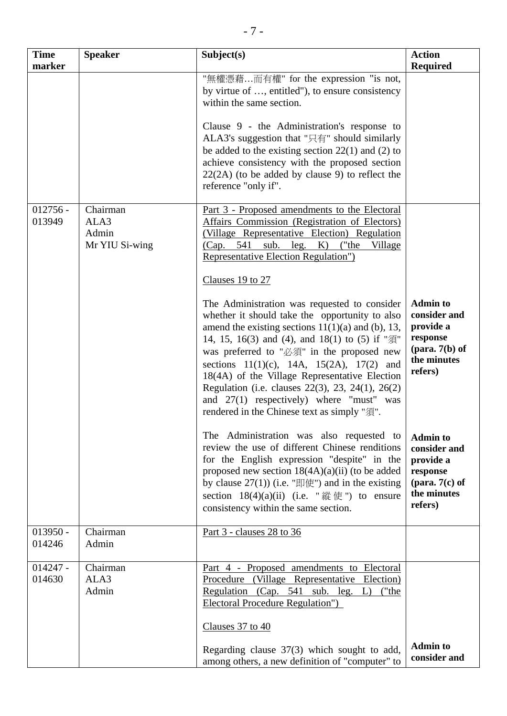| <b>Time</b><br>marker | <b>Speaker</b>                              | Subject(s)                                                                                                                                                                                                                                                                                                                                                                                                                                                                                              | <b>Action</b><br><b>Required</b>                                                                                        |
|-----------------------|---------------------------------------------|---------------------------------------------------------------------------------------------------------------------------------------------------------------------------------------------------------------------------------------------------------------------------------------------------------------------------------------------------------------------------------------------------------------------------------------------------------------------------------------------------------|-------------------------------------------------------------------------------------------------------------------------|
|                       |                                             | "無權憑藉而有權" for the expression "is not,<br>by virtue of , entitled"), to ensure consistency<br>within the same section.                                                                                                                                                                                                                                                                                                                                                                                   |                                                                                                                         |
|                       |                                             | Clause 9 - the Administration's response to<br>ALA3's suggestion that "只有" should similarly<br>be added to the existing section $22(1)$ and (2) to<br>achieve consistency with the proposed section<br>$22(2A)$ (to be added by clause 9) to reflect the<br>reference "only if".                                                                                                                                                                                                                        |                                                                                                                         |
| $012756 -$<br>013949  | Chairman<br>ALA3<br>Admin<br>Mr YIU Si-wing | Part 3 - Proposed amendments to the Electoral<br>Affairs Commission (Registration of Electors)<br>(Village Representative Election) Regulation<br>(Cap. 541 sub. leg. K) ("the Village<br>Representative Election Regulation")<br>Clauses 19 to 27                                                                                                                                                                                                                                                      |                                                                                                                         |
|                       |                                             | The Administration was requested to consider<br>whether it should take the opportunity to also<br>amend the existing sections $11(1)(a)$ and (b), 13,<br>14, 15, 16(3) and (4), and 18(1) to (5) if "須"<br>was preferred to "必須" in the proposed new<br>sections $11(1)(c)$ , 14A, $15(2A)$ , 17(2) and<br>18(4A) of the Village Representative Election<br>Regulation (i.e. clauses 22(3), 23, 24(1), 26(2)<br>and 27(1) respectively) where "must" was<br>rendered in the Chinese text as simply "須". | <b>Admin to</b><br>consider and<br>provide a<br>response<br>$(\text{para. } 7(b) \text{ of }$<br>the minutes<br>refers) |
|                       |                                             | The Administration was also requested to<br>review the use of different Chinese renditions<br>for the English expression "despite" in the<br>proposed new section $18(4A)(a)(ii)$ (to be added<br>by clause $27(1)$ (i.e. "即使") and in the existing<br>section $18(4)(a)(ii)$ (i.e. "縱使") to ensure<br>consistency within the same section.                                                                                                                                                             | <b>Admin to</b><br>consider and<br>provide a<br>response<br>(para. $7(c)$ of<br>the minutes<br>refers)                  |
| $013950 -$<br>014246  | Chairman<br>Admin                           | Part 3 - clauses 28 to 36                                                                                                                                                                                                                                                                                                                                                                                                                                                                               |                                                                                                                         |
| $014247 -$<br>014630  | Chairman<br>ALA3<br>Admin                   | Part 4 - Proposed amendments to Electoral<br>Procedure (Village Representative Election)<br>Regulation (Cap. 541 sub. leg. L) ("the<br><b>Electoral Procedure Regulation"</b> )                                                                                                                                                                                                                                                                                                                         |                                                                                                                         |
|                       |                                             | Clauses 37 to 40<br>Regarding clause 37(3) which sought to add,<br>among others, a new definition of "computer" to                                                                                                                                                                                                                                                                                                                                                                                      | <b>Admin to</b><br>consider and                                                                                         |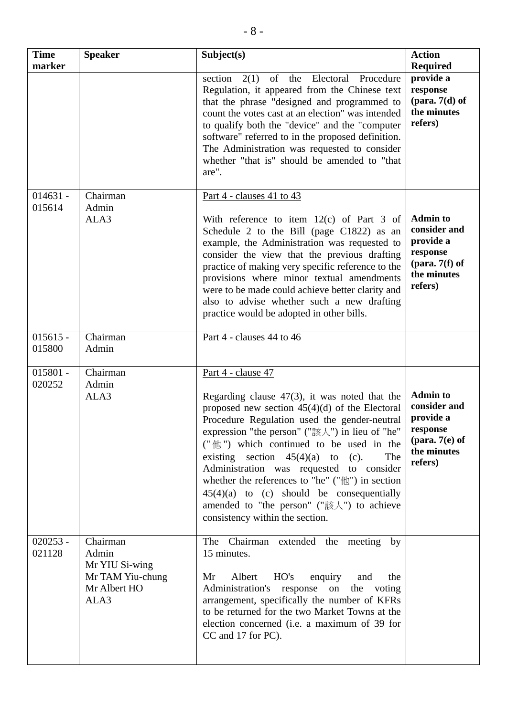| <b>Time</b><br>marker | <b>Speaker</b>                                                                  | Subject(s)                                                                                                                                                                                                                                                                                                                                                                                                                                                                                                                                                     | <b>Action</b><br><b>Required</b>                                                                       |
|-----------------------|---------------------------------------------------------------------------------|----------------------------------------------------------------------------------------------------------------------------------------------------------------------------------------------------------------------------------------------------------------------------------------------------------------------------------------------------------------------------------------------------------------------------------------------------------------------------------------------------------------------------------------------------------------|--------------------------------------------------------------------------------------------------------|
|                       |                                                                                 | of the Electoral<br>2(1)<br>Procedure<br>section<br>Regulation, it appeared from the Chinese text<br>that the phrase "designed and programmed to<br>count the votes cast at an election" was intended<br>to qualify both the "device" and the "computer<br>software" referred to in the proposed definition.<br>The Administration was requested to consider<br>whether "that is" should be amended to "that<br>are".                                                                                                                                          | provide a<br>response<br>$(\text{para. } 7(d) \text{ of }$<br>the minutes<br>refers)                   |
| $014631 -$<br>015614  | Chairman<br>Admin<br>ALA3                                                       | Part 4 - clauses 41 to 43<br>With reference to item $12(c)$ of Part 3 of<br>Schedule 2 to the Bill (page C1822) as an<br>example, the Administration was requested to<br>consider the view that the previous drafting<br>practice of making very specific reference to the<br>provisions where minor textual amendments<br>were to be made could achieve better clarity and<br>also to advise whether such a new drafting<br>practice would be adopted in other bills.                                                                                         | <b>Admin to</b><br>consider and<br>provide a<br>response<br>(para. $7(f)$ of<br>the minutes<br>refers) |
| $015615 -$<br>015800  | Chairman<br>Admin                                                               | Part 4 - clauses 44 to 46                                                                                                                                                                                                                                                                                                                                                                                                                                                                                                                                      |                                                                                                        |
| $015801 -$<br>020252  | Chairman<br>Admin<br>ALA3                                                       | Part 4 - clause 47<br>Regarding clause $47(3)$ , it was noted that the<br>proposed new section $45(4)(d)$ of the Electoral<br>Procedure Regulation used the gender-neutral<br>expression "the person" ("該人") in lieu of "he"<br>("他") which continued to be used in the<br>existing section $45(4)(a)$ to<br>The<br>$(c)$ .<br>Administration was requested to consider<br>whether the references to "he" (" $\#$ ") in section<br>$45(4)(a)$ to (c) should be consequentially<br>amended to "the person" ("該人") to achieve<br>consistency within the section. | <b>Admin to</b><br>consider and<br>provide a<br>response<br>(para. $7(e)$ of<br>the minutes<br>refers) |
| $020253 -$<br>021128  | Chairman<br>Admin<br>Mr YIU Si-wing<br>Mr TAM Yiu-chung<br>Mr Albert HO<br>ALA3 | The Chairman extended the meeting by<br>15 minutes.<br>Mr<br>Albert<br>HO's<br>enquiry<br>and<br>the<br>Administration's response on<br>the voting<br>arrangement, specifically the number of KFRs<br>to be returned for the two Market Towns at the<br>election concerned (i.e. a maximum of 39 for<br>CC and 17 for PC).                                                                                                                                                                                                                                     |                                                                                                        |